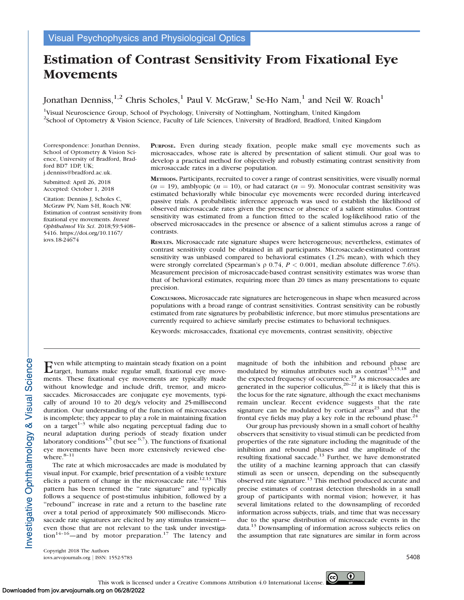# Estimation of Contrast Sensitivity From Fixational Eye Movements

Jonathan Denniss,<sup>1,2</sup> Chris Scholes,<sup>1</sup> Paul V. McGraw,<sup>1</sup> Se-Ho Nam,<sup>1</sup> and Neil W. Roach<sup>1</sup>

<sup>1</sup>Visual Neuroscience Group, School of Psychology, University of Nottingham, Nottingham, United Kingdom <sup>2</sup>School of Optometry & Vision Science, Faculty of Life Sciences, University of Bradford, Bradford, United Kingdom

Correspondence: Jonathan Denniss, School of Optometry & Vision Science, University of Bradford, Bradford BD7 1DP, UK; j.denniss@bradford.ac.uk.

Submitted: April 26, 2018 Accepted: October 1, 2018

Citation: Denniss J, Scholes C, McGraw PV, Nam S-H, Roach NW. Estimation of contrast sensitivity from fixational eye movements. Invest Ophthalmol Vis Sci. 2018;59:5408– 5416. https://doi.org/10.1167/ iovs.18-24674

PURPOSE. Even during steady fixation, people make small eye movements such as microsaccades, whose rate is altered by presentation of salient stimuli. Our goal was to develop a practical method for objectively and robustly estimating contrast sensitivity from microsaccade rates in a diverse population.

METHODS. Participants, recruited to cover a range of contrast sensitivities, were visually normal  $(n = 19)$ , amblyopic  $(n = 10)$ , or had cataract  $(n = 9)$ . Monocular contrast sensitivity was estimated behaviorally while binocular eye movements were recorded during interleaved passive trials. A probabilistic inference approach was used to establish the likelihood of observed microsaccade rates given the presence or absence of a salient stimulus. Contrast sensitivity was estimated from a function fitted to the scaled log-likelihood ratio of the observed microsaccades in the presence or absence of a salient stimulus across a range of contrasts.

RESULTS. Microsaccade rate signature shapes were heterogeneous; nevertheless, estimates of contrast sensitivity could be obtained in all participants. Microsaccade-estimated contrast sensitivity was unbiased compared to behavioral estimates (1.2% mean), with which they were strongly correlated (Spearman's  $\rho$  0.74,  $P < 0.001$ , median absolute difference 7.6%). Measurement precision of microsaccade-based contrast sensitivity estimates was worse than that of behavioral estimates, requiring more than 20 times as many presentations to equate precision.

CONCLUSIONS. Microsaccade rate signatures are heterogeneous in shape when measured across populations with a broad range of contrast sensitivities. Contrast sensitivity can be robustly estimated from rate signatures by probabilistic inference, but more stimulus presentations are currently required to achieve similarly precise estimates to behavioral techniques.

Keywords: microsaccades, fixational eye movements, contrast sensitivity, objective

Even while attempting to maintain steady fixation on a point target, humans make regular small, fixational eye movements. These fixational eye movements are typically made without knowledge and include drift, tremor, and microsaccades. Microsaccades are conjugate eye movements, typically of around 10 to 20 deg/s velocity and 25-millisecond duration. Our understanding of the function of microsaccades is incomplete; they appear to play a role in maintaining fixation on a target<sup>1-3</sup> while also negating perceptual fading due to neural adaptation during periods of steady fixation under laboratory conditions<sup>4,5</sup> (but see  $6,7$ ). The functions of fixational eye movements have been more extensively reviewed elsewhere.<sup>8-11</sup>

The rate at which microsaccades are made is modulated by visual input. For example, brief presentation of a visible texture elicits a pattern of change in the microsaccade rate.<sup>12,13</sup> This pattern has been termed the "rate signature" and typically follows a sequence of post-stimulus inhibition, followed by a "rebound" increase in rate and a return to the baseline rate over a total period of approximately 500 milliseconds. Microsaccade rate signatures are elicited by any stimulus transient even those that are not relevant to the task under investiga- $\text{tion}^{14-16}$ —and by motor preparation.<sup>17</sup> The latency and magnitude of both the inhibition and rebound phase are modulated by stimulus attributes such as contrast<sup>13,15,18</sup> and the expected frequency of occurrence.<sup>19</sup> As microsaccades are generated in the superior colliculus,<sup>20-22</sup> it is likely that this is the locus for the rate signature, although the exact mechanisms remain unclear. Recent evidence suggests that the rate signature can be modulated by cortical areas<sup>23</sup> and that the frontal eye fields may play a key role in the rebound phase. $24$ 

Our group has previously shown in a small cohort of healthy observers that sensitivity to visual stimuli can be predicted from properties of the rate signature including the magnitude of the inhibition and rebound phases and the amplitude of the resulting fixational saccade.<sup>13</sup> Further, we have demonstrated the utility of a machine learning approach that can classify stimuli as seen or unseen, depending on the subsequently observed rate signature.<sup>13</sup> This method produced accurate and precise estimates of contrast detection thresholds in a small group of participants with normal vision; however, it has several limitations related to the downsampling of recorded information across subjects, trials, and time that was necessary due to the sparse distribution of microsaccade events in the data.<sup>13</sup> Downsampling of information across subjects relies on the assumption that rate signatures are similar in form across

Copyright 2018 The Authors



iovs.arvojournals.org j ISSN: 1552-5783 5408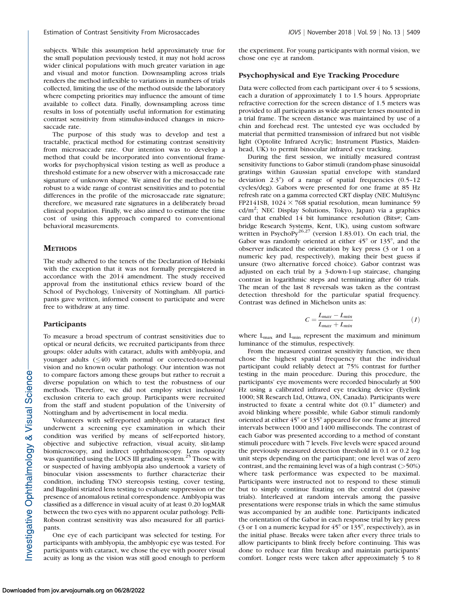subjects. While this assumption held approximately true for the small population previously tested, it may not hold across wider clinical populations with much greater variation in age and visual and motor function. Downsampling across trials renders the method inflexible to variations in numbers of trials collected, limiting the use of the method outside the laboratory where competing priorities may influence the amount of time available to collect data. Finally, downsampling across time results in loss of potentially useful information for estimating contrast sensitivity from stimulus-induced changes in microsaccade rate.

The purpose of this study was to develop and test a tractable, practical method for estimating contrast sensitivity from microsaccade rate. Our intention was to develop a method that could be incorporated into conventional frameworks for psychophysical vision testing as well as produce a threshold estimate for a new observer with a microsaccade rate signature of unknown shape. We aimed for the method to be robust to a wide range of contrast sensitivities and to potential differences in the profile of the microsaccade rate signature; therefore, we measured rate signatures in a deliberately broad clinical population. Finally, we also aimed to estimate the time cost of using this approach compared to conventional behavioral measurements.

# **METHODS**

The study adhered to the tenets of the Declaration of Helsinki with the exception that it was not formally preregistered in accordance with the 2014 amendment. The study received approval from the institutional ethics review board of the School of Psychology, University of Nottingham. All participants gave written, informed consent to participate and were free to withdraw at any time.

### Participants

To measure a broad spectrum of contrast sensitivities due to optical or neural deficits, we recruited participants from three groups: older adults with cataract, adults with amblyopia, and younger adults  $(\leq 40)$  with normal or corrected-to-normal vision and no known ocular pathology. Our intention was not to compare factors among these groups but rather to recruit a diverse population on which to test the robustness of our methods. Therefore, we did not employ strict inclusion/ exclusion criteria to each group. Participants were recruited from the staff and student population of the University of Nottingham and by advertisement in local media.

Volunteers with self-reported amblyopia or cataract first underwent a screening eye examination in which their condition was verified by means of self-reported history, objective and subjective refraction, visual acuity, slit-lamp biomicroscopy, and indirect ophthalmoscopy. Lens opacity was quantified using the LOCS III grading system.<sup>25</sup> Those with or suspected of having amblyopia also undertook a variety of binocular vision assessments to further characterize their condition, including TNO stereopsis testing, cover testing, and Bagolini striated lens testing to evaluate suppression or the presence of anomalous retinal correspondence. Amblyopia was classified as a difference in visual acuity of at least 0.20 logMAR between the two eyes with no apparent ocular pathology. Pelli-Robson contrast sensitivity was also measured for all participants.

One eye of each participant was selected for testing. For participants with amblyopia, the amblyopic eye was tested. For participants with cataract, we chose the eye with poorer visual acuity as long as the vision was still good enough to perform the experiment. For young participants with normal vision, we chose one eye at random.

# Psychophysical and Eye Tracking Procedure

Data were collected from each participant over 4 to 5 sessions, each a duration of approximately 1 to 1.5 hours. Appropriate refractive correction for the screen distance of 1.5 meters was provided to all participants as wide aperture lenses mounted in a trial frame. The screen distance was maintained by use of a chin and forehead rest. The untested eye was occluded by material that permitted transmission of infrared but not visible light (Optolite Infrared Acrylic; Instrument Plastics, Maidenhead, UK) to permit binocular infrared eye tracking.

During the first session, we initially measured contrast sensitivity functions to Gabor stimuli (random-phase sinusoidal gratings within Gaussian spatial envelope with standard deviation  $2.3^{\circ}$ ) of a range of spatial frequencies  $(0.5-12)$ cycles/deg). Gabors were presented for one frame at 85 Hz refresh rate on a gamma corrected CRT display (NEC MultiSync FP2141SB,  $1024 \times 768$  spatial resolution, mean luminance 59 cd/m<sup>2</sup>; NEC Display Solutions, Tokyo, Japan) via a graphics card that enabled 14 bit luminance resolution (Bits#; Cambridge Research Systems, Kent, UK), using custom software written in PsychoPy<sup>26,27</sup> (version 1.83.01). On each trial, the Gabor was randomly oriented at either  $45^{\circ}$  or  $135^{\circ}$ , and the observer indicated the orientation by key press (3 or 1 on a numeric key pad, respectively), making their best guess if unsure (two alternative forced choice). Gabor contrast was adjusted on each trial by a 3-down-1-up staircase, changing contrast in logarithmic steps and terminating after 60 trials. The mean of the last 8 reversals was taken as the contrast detection threshold for the particular spatial frequency. Contrast was defined in Michelson units as:

$$
C = \frac{L_{max} - L_{min}}{L_{max} + L_{min}} \tag{1}
$$

where  $L_{\text{max}}$  and  $L_{\text{min}}$  represent the maximum and minimum luminance of the stimulus, respectively.

From the measured contrast sensitivity function, we then chose the highest spatial frequency that the individual participant could reliably detect at 75% contrast for further testing in the main procedure. During this procedure, the participants' eye movements were recorded binocularly at 500 Hz using a calibrated infrared eye tracking device (Eyelink 1000; SR Research Ltd, Ottawa, ON, Canada). Participants were instructed to fixate a central white dot  $(0.1^{\circ}$  diameter) and avoid blinking where possible, while Gabor stimuli randomly oriented at either  $45^{\circ}$  or  $135^{\circ}$  appeared for one frame at jittered intervals between 1000 and 1400 milliseconds. The contrast of each Gabor was presented according to a method of constant stimuli procedure with 7 levels. Five levels were spaced around the previously measured detection threshold in 0.1 or 0.2 log unit steps depending on the participant; one level was of zero contrast, and the remaining level was of a high contrast (>50%) where task performance was expected to be maximal. Participants were instructed not to respond to these stimuli but to simply continue fixating on the central dot (passive trials). Interleaved at random intervals among the passive presentations were response trials in which the same stimulus was accompanied by an audible tone. Participants indicated the orientation of the Gabor in each response trial by key press (3 or 1 on a numeric keypad for  $45^{\circ}$  or  $135^{\circ}$ , respectively), as in the initial phase. Breaks were taken after every three trials to allow participants to blink freely before continuing. This was done to reduce tear film breakup and maintain participants' comfort. Longer rests were taken after approximately 5 to 8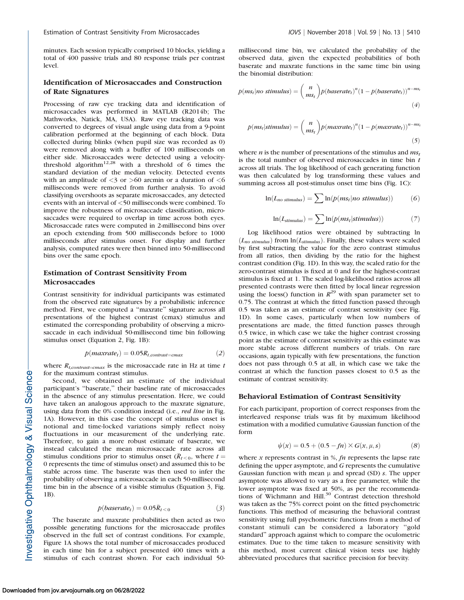minutes. Each session typically comprised 10 blocks, yielding a total of 400 passive trials and 80 response trials per contrast level.

# Identification of Microsaccades and Construction of Rate Signatures

Processing of raw eye tracking data and identification of microsaccades was performed in MATLAB (R2014b; The Mathworks, Natick, MA, USA). Raw eye tracking data was converted to degrees of visual angle using data from a 9-point calibration performed at the beginning of each block. Data collected during blinks (when pupil size was recorded as 0) were removed along with a buffer of 100 milliseconds on either side. Microsaccades were detected using a velocitythreshold algorithm<sup>12,28</sup> with a threshold of  $6$  times the standard deviation of the median velocity. Detected events with an amplitude of  $\langle 3 \rangle$  or  $> 60$  arcmin or a duration of  $\langle 6 \rangle$ milliseconds were removed from further analysis. To avoid classifying overshoots as separate microsaccades, any detected events with an interval of <50 milliseconds were combined. To improve the robustness of microsaccade classification, microsaccades were required to overlap in time across both eyes. Microsaccade rates were computed in 2-millisecond bins over an epoch extending from 500 milliseconds before to 1000 milliseconds after stimulus onset. For display and further analysis, computed rates were then binned into 50-millisecond bins over the same epoch.

# Estimation of Contrast Sensitivity From **Microsaccades**

Contrast sensitivity for individual participants was estimated from the observed rate signatures by a probabilistic inference method. First, we computed a ''maxrate'' signature across all presentations of the highest contrast (cmax) stimulus and estimated the corresponding probability of observing a microsaccade in each individual 50-millisecond time bin following stimulus onset (Equation 2, Fig. 1B):

$$
p(maxrate_t) = 0.05R_{t,contrast = cmax} \tag{2}
$$

where  $R_{t.contrast = cmax}$  is the microsaccade rate in Hz at time t for the maximum contrast stimulus.

Second, we obtained an estimate of the individual participant's ''baserate,'' their baseline rate of microsaccades in the absence of any stimulus presentation. Here, we could have taken an analogous approach to the maxrate signature, using data from the 0% condition instead (i.e., *red line* in Fig. 1A). However, in this case the concept of stimulus onset is notional and time-locked variations simply reflect noisy fluctuations in our measurement of the underlying rate. Therefore, to gain a more robust estimate of baserate, we instead calculated the mean microsaccade rate across all stimulus conditions prior to stimulus onset  $(\bar{R}_{t<0},$  where  $t=$ 0 represents the time of stimulus onset) and assumed this to be stable across time. The baserate was then used to infer the probability of observing a microsaccade in each 50-millisecond time bin in the absence of a visible stimulus (Equation 3, Fig. 1B).

$$
p(baserate_t) = 0.05\bar{R}_{t<0} \tag{3}
$$

The baserate and maxrate probabilities then acted as two possible generating functions for the microsaccade profiles observed in the full set of contrast conditions. For example, Figure 1A shows the total number of microsaccades produced in each time bin for a subject presented 400 times with a stimulus of each contrast shown. For each individual 50millisecond time bin, we calculated the probability of the observed data, given the expected probabilities of both baserate and maxrate functions in the same time bin using the binomial distribution:

$$
p(ms_t|no\text{ stimulus}) = {n \choose ms_t} p(baserate_t)^n (1 - p(baserate_t))^{n - ms_t}
$$
\n(4)

$$
p(m_{\text{St}}|\text{stimulus}) = {n \choose m_{\text{St}}} p(m\text{axrate}_t)^n (1 - p(m\text{axrate}_t))^{n - ms_t}
$$
\n(5)

where *n* is the number of presentations of the stimulus and  $ms_t$ is the total number of observed microsaccades in time bin  $t$ across all trials. The log likelihood of each generating function was then calculated by log transforming these values and summing across all post-stimulus onset time bins (Fig. 1C):

$$
\ln(L_{no\,stimulus}) = \sum \ln(p(ms_t|no\,stimulus)) \tag{6}
$$

$$
\ln(L_{stimulus}) = \sum \ln(p(ms_t|stimulus)) \tag{7}
$$

Log likelihood ratios were obtained by subtracting ln  $\left(L_{no~stimulus}\right)$  from  $\ln\left(L_{stimulus}\right).$  Finally, these values were scaled by first subtracting the value for the zero contrast stimulus from all ratios, then dividing by the ratio for the highest contrast condition (Fig. 1D). In this way, the scaled ratio for the zero-contrast stimulus is fixed at 0 and for the highest-contrast stimulus is fixed at 1. The scaled log-likelihood ratios across all presented contrasts were then fitted by local linear regression using the loess() function in  $R^{29}$  with span parameter set to 0.75. The contrast at which the fitted function passed through 0.5 was taken as an estimate of contrast sensitivity (see Fig. 1D). In some cases, particularly when low numbers of presentations are made, the fitted function passes through 0.5 twice, in which case we take the higher contrast crossing point as the estimate of contrast sensitivity as this estimate was more stable across different numbers of trials. On rare occasions, again typically with few presentations, the function does not pass through 0.5 at all, in which case we take the contrast at which the function passes closest to 0.5 as the estimate of contrast sensitivity.

# Behavioral Estimation of Contrast Sensitivity

For each participant, proportion of correct responses from the interleaved response trials was fit by maximum likelihood estimation with a modified cumulative Gaussian function of the form

$$
\psi(x) = 0.5 + (0.5 - fn) \times G(x, \mu, s)
$$
 (8)

where  $x$  represents contrast in %,  $fn$  represents the lapse rate defining the upper asymptote, and G represents the cumulative Gaussian function with mean  $\mu$  and spread (SD) s. The upper asymptote was allowed to vary as a free parameter, while the lower asymptote was fixed at 50%, as per the recommendations of Wichmann and Hill.<sup>30</sup> Contrast detection threshold was taken as the 75% correct point on the fitted psychometric functions. This method of measuring the behavioral contrast sensitivity using full psychometric functions from a method of constant stimuli can be considered a laboratory ''gold standard'' approach against which to compare the oculometric estimates. Due to the time taken to measure sensitivity with this method, most current clinical vision tests use highly abbreviated procedures that sacrifice precision for brevity.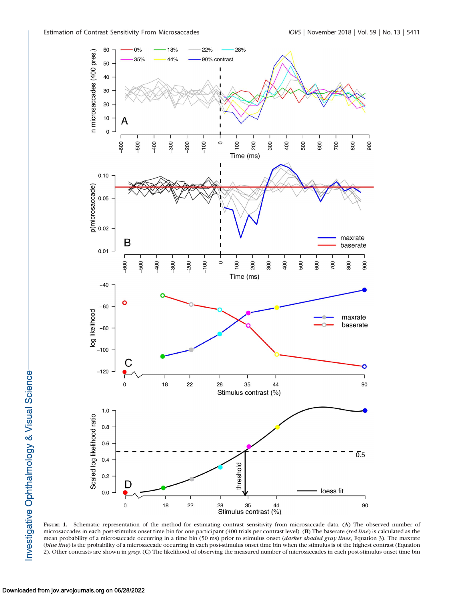

FIGURE 1. Schematic representation of the method for estimating contrast sensitivity from microsaccade data. (A) The observed number of microsaccades in each post-stimulus onset time bin for one participant (400 trials per contrast level). (B) The baserate (red line) is calculated as the mean probability of a microsaccade occurring in a time bin (50 ms) prior to stimulus onset (darker shaded gray lines, Equation 3). The maxrate (blue line) is the probability of a microsaccade occurring in each post-stimulus onset time bin when the stimulus is of the highest contrast (Equation 2). Other contrasts are shown in gray. (C) The likelihood of observing the measured number of microsaccades in each post-stimulus onset time bin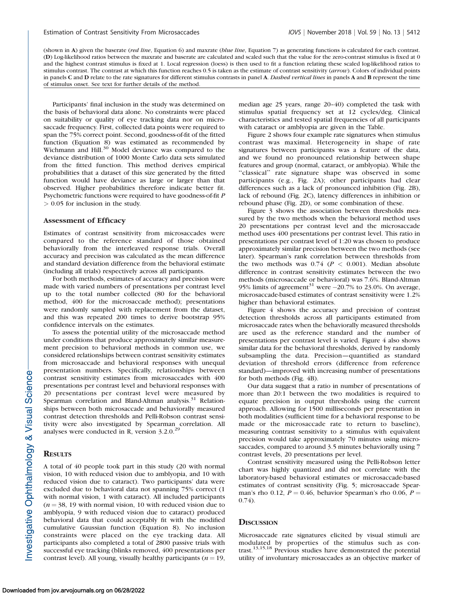(shown in A) given the baserate (red line, Equation 6) and maxrate (blue line, Equation 7) as generating functions is calculated for each contrast. (D) Log-likelihood ratios between the maxrate and baserate are calculated and scaled such that the value for the zero-contrast stimulus is fixed at 0 and the highest contrast stimulus is fixed at 1. Local regression (loess) is then used to fit a function relating these scaled log-likelihood ratios to stimulus contrast. The contrast at which this function reaches 0.5 is taken as the estimate of contrast sensitivity (arrow). Colors of individual points in panels C and D relate to the rate signatures for different stimulus contrasts in panel A. Dashed vertical lines in panels A and B represent the time of stimulus onset. See text for further details of the method.

Participants' final inclusion in the study was determined on the basis of behavioral data alone. No constraints were placed on suitability or quality of eye tracking data nor on microsaccade frequency. First, collected data points were required to span the 75% correct point. Second, goodness-of-fit of the fitted function (Equation 8) was estimated as recommended by Wichmann and Hill.<sup>30</sup> Model deviance was compared to the deviance distribution of 1000 Monte Carlo data sets simulated from the fitted function. This method derives empirical probabilities that a dataset of this size generated by the fitted function would have deviance as large or larger than that observed. Higher probabilities therefore indicate better fit. Psychometric functions were required to have goodness-of-fit P > 0.05 for inclusion in the study.

#### Assessment of Efficacy

Estimates of contrast sensitivity from microsaccades were compared to the reference standard of those obtained behaviorally from the interleaved response trials. Overall accuracy and precision was calculated as the mean difference and standard deviation difference from the behavioral estimate (including all trials) respectively across all participants.

For both methods, estimates of accuracy and precision were made with varied numbers of presentations per contrast level up to the total number collected (80 for the behavioral method, 400 for the microsaccade method); presentations were randomly sampled with replacement from the dataset, and this was repeated 200 times to derive bootstrap 95% confidence intervals on the estimates.

To assess the potential utility of the microsaccade method under conditions that produce approximately similar measurement precision to behavioral methods in common use, we considered relationships between contrast sensitivity estimates from microsaccade and behavioral responses with unequal presentation numbers. Specifically, relationships between contrast sensitivity estimates from microsaccades with 400 presentations per contrast level and behavioral responses with 20 presentations per contrast level were measured by Spearman correlation and Bland-Altman analysis. $31$  Relationships between both microsaccade and behaviorally measured contrast detection thresholds and Pelli-Robson contrast sensitivity were also investigated by Spearman correlation. All analyses were conducted in R, version  $3.2.0<sup>2</sup>$ 

# **RESULTS**

A total of 40 people took part in this study (20 with normal vision, 10 with reduced vision due to amblyopia, and 10 with reduced vision due to cataract). Two participants' data were excluded due to behavioral data not spanning 75% correct (1 with normal vision, 1 with cataract). All included participants  $(n = 38, 19$  with normal vision, 10 with reduced vision due to amblyopia, 9 with reduced vision due to cataract) produced behavioral data that could acceptably fit with the modified cumulative Gaussian function (Equation 8). No inclusion constraints were placed on the eye tracking data. All participants also completed a total of 2800 passive trials with successful eye tracking (blinks removed, 400 presentations per contrast level). All young, visually healthy participants ( $n = 19$ ,

median age 25 years, range 20–40) completed the task with stimulus spatial frequency set at 12 cycles/deg. Clinical characteristics and tested spatial frequencies of all participants with cataract or amblyopia are given in the Table.

Figure 2 shows four example rate signatures when stimulus contrast was maximal. Heterogeneity in shape of rate signatures between participants was a feature of the data, and we found no pronounced relationship between shape features and group (normal, cataract, or amblyopia). While the "classical" rate signature shape was observed in some participants (e.g., Fig. 2A); other participants had clear differences such as a lack of pronounced inhibition (Fig. 2B), lack of rebound (Fig. 2C), latency differences in inhibition or rebound phase (Fig. 2D), or some combination of these.

Figure 3 shows the association between thresholds measured by the two methods when the behavioral method uses 20 presentations per contrast level and the microsaccade method uses 400 presentations per contrast level. This ratio in presentations per contrast level of 1:20 was chosen to produce approximately similar precision between the two methods (see later). Spearman's rank correlation between thresholds from the two methods was  $0.74$  ( $P < 0.001$ ). Median absolute difference in contrast sensitivity estimates between the two methods (microsaccade or behavioral) was 7.6%. Bland-Altman 95% limits of agreement<sup>31</sup> were  $-20.7$ % to 23.0%. On average, microsaccade-based estimates of contrast sensitivity were 1.2% higher than behavioral estimates.

Figure 4 shows the accuracy and precision of contrast detection thresholds across all participants estimated from microsaccade rates when the behaviorally measured thresholds are used as the reference standard and the number of presentations per contrast level is varied. Figure 4 also shows similar data for the behavioral thresholds, derived by randomly subsampling the data. Precision—quantified as standard deviation of threshold errors (difference from reference standard)—improved with increasing number of presentations for both methods (Fig. 4B).

Our data suggest that a ratio in number of presentations of more than 20:1 between the two modalities is required to equate precision in output thresholds using the current approach. Allowing for 1500 milliseconds per presentation in both modalities (sufficient time for a behavioral response to be made or the microsaccade rate to return to baseline), measuring contrast sensitivity to a stimulus with equivalent precision would take approximately 70 minutes using microsaccades, compared to around 3.5 minutes behaviorally using 7 contrast levels, 20 presentations per level.

Contrast sensitivity measured using the Pelli-Robson letter chart was highly quantized and did not correlate with the laboratory-based behavioral estimates or microsaccade-based estimates of contrast sensitivity (Fig. 5; microsaccade Spearman's rho 0.12,  $P = 0.46$ , behavior Spearman's rho 0.06,  $P =$ 0.74).

#### **DISCUSSION**

Microsaccade rate signatures elicited by visual stimuli are modulated by properties of the stimulus such as contrast.13,15,18 Previous studies have demonstrated the potential utility of involuntary microsaccades as an objective marker of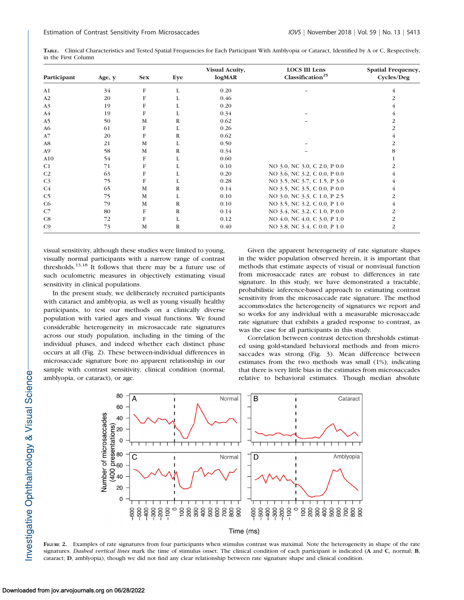|                     | TABLE. Clinical Characteristics and Tested Spatial Frequencies for Each Participant With Amblyopia or Cataract, Identified by A or C, Respectively, |  |  |  |
|---------------------|-----------------------------------------------------------------------------------------------------------------------------------------------------|--|--|--|
| in the First Column |                                                                                                                                                     |  |  |  |

| Participant    | Age, y | <b>Sex</b>  | Eye          | <b>Visual Acuity,</b><br>log <sub>MAP</sub> | <b>LOCS III Lens</b><br>Classification <sup>25</sup> | Spatial Frequency,<br>Cycles/Deg |
|----------------|--------|-------------|--------------|---------------------------------------------|------------------------------------------------------|----------------------------------|
| A1             | 34     | F           | L            | 0.20                                        |                                                      | 4                                |
| A2             | 20     | F           | L            | 0.46                                        |                                                      | $\overline{2}$                   |
| A <sub>3</sub> | 19     | F           |              | 0.20                                        |                                                      | 4                                |
| A4             | 19     | ${\rm F}$   | L            | 0.34                                        |                                                      | 4                                |
| A <sub>5</sub> | 50     | M           | $\mathbf R$  | 0.62                                        |                                                      | $\overline{2}$                   |
| A6             | 61     | F           | L            | 0.26                                        |                                                      | $\overline{c}$                   |
| A7             | 20     | F           | R            | 0.62                                        |                                                      | 4                                |
| A8             | 21     | M           | L            | 0.50                                        |                                                      | $\overline{2}$                   |
| A <sub>9</sub> | 58     | M           | $\mathbb{R}$ | 0.34                                        |                                                      | 8                                |
| A10            | 54     | F           | L            | 0.60                                        |                                                      |                                  |
| C1             | 71     | $\mathbf F$ | L            | 0.10                                        | NO 3.0, NC 3.0, C 2.0, P 0.0                         | 2                                |
| C <sub>2</sub> | 63     | F           | L            | 0.20                                        | NO 3.6, NC 3.2, C 0.0, P 0.0                         | 4                                |
| C <sub>3</sub> | 75     | $\mathbf F$ | L            | 0.28                                        | NO 3.5, NC 3.7, C 1.5, P 3.0                         | 4                                |
| C4             | 65     | M           | $\mathbb{R}$ | 0.14                                        | NO 3.5, NC 3.5, C 0.0, P 0.0                         | 4                                |
| C <sub>5</sub> | 75     | M           | L            | 0.10                                        | NO 3.0, NC 3.3, C 1.0, P 2.5                         | 2                                |
| C <sub>6</sub> | 79     | M           | $\mathbb{R}$ | 0.10                                        | NO 3.5, NC 3.2, C 0.0, P 1.0                         | 4                                |
| C7             | 80     | F           | $\mathbb{R}$ | 0.14                                        | NO 3.4, NC 3.2, C 1.0, P 0.0                         | 2                                |
| C8             | 72     | $\mathbf F$ | L            | 0.12                                        | NO 4.0, NC 4.0, C 3.0, P 1.0                         | $\overline{c}$                   |
| C9             | 73     | M           | $\mathbb R$  | 0.40                                        | NO 3.8, NC 3.4, C 0.0, P 1.0                         | $\overline{2}$                   |

visual sensitivity, although these studies were limited to young, visually normal participants with a narrow range of contrast thresholds.<sup>13,18</sup> It follows that there may be a future use of such oculometric measures in objectively estimating visual sensitivity in clinical populations.

In the present study, we deliberately recruited participants with cataract and amblyopia, as well as young visually healthy participants, to test our methods on a clinically diverse population with varied ages and visual functions. We found considerable heterogeneity in microsaccade rate signatures across our study population, including in the timing of the individual phases, and indeed whether each distinct phase occurs at all (Fig. 2). These between-individual differences in microsaccade signature bore no apparent relationship in our sample with contrast sensitivity, clinical condition (normal, amblyopia, or cataract), or age.

Given the apparent heterogeneity of rate signature shapes in the wider population observed herein, it is important that methods that estimate aspects of visual or nonvisual function from microsaccade rates are robust to differences in rate signature. In this study, we have demonstrated a tractable, probabilistic inference-based approach to estimating contrast sensitivity from the microsaccade rate signature. The method accommodates the heterogeneity of signatures we report and so works for any individual with a measurable microsaccade rate signature that exhibits a graded response to contrast, as was the case for all participants in this study.

Correlation between contrast detection thresholds estimated using gold-standard behavioral methods and from microsaccades was strong (Fig. 3). Mean difference between estimates from the two methods was small (1%), indicating that there is very little bias in the estimates from microsaccades relative to behavioral estimates. Though median absolute



FIGURE 2. Examples of rate signatures from four participants when stimulus contrast was maximal. Note the heterogeneity in shape of the rate signatures. Dashed vertical lines mark the time of stimulus onset. The clinical condition of each participant is indicated (A and C, normal; B, cataract; D, amblyopia), though we did not find any clear relationship between rate signature shape and clinical condition.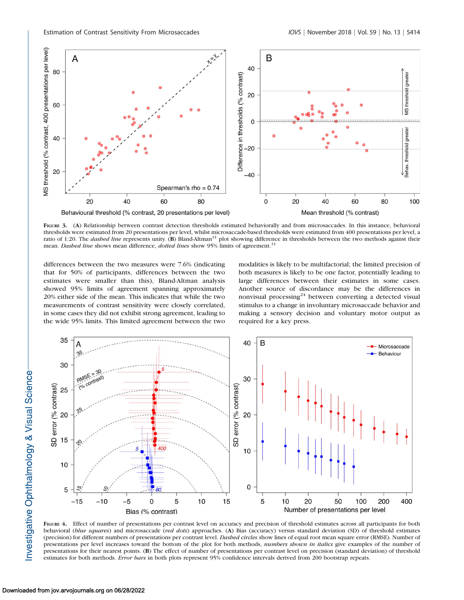

FIGURE 3. (A) Relationship between contrast detection thresholds estimated behaviorally and from microsaccades. In this instance, behavioral thresholds were estimated from 20 presentations per level, whilst microsaccade-based thresholds were estimated from 400 presentations per level, a ratio of 1:20. The *dashed line* represents unity.  $(B)$  Bland-Altman<sup>31</sup> plot showing difference in thresholds between the two methods against their mean. Dashed line shows mean difference, dotted lines show 95% limits of agreement.<sup>31</sup>

differences between the two measures were 7.6% (indicating that for 50% of participants, differences between the two estimates were smaller than this), Bland-Altman analysis showed 95% limits of agreement spanning approximately 20% either side of the mean. This indicates that while the two measurements of contrast sensitivity were closely correlated, in some cases they did not exhibit strong agreement, leading to the wide 95% limits. This limited agreement between the two

modalities is likely to be multifactorial; the limited precision of both measures is likely to be one factor, potentially leading to large differences between their estimates in some cases. Another source of discordance may be the differences in nonvisual processing $^{24}$  between converting a detected visual stimulus to a change in involuntary microsaccade behavior and making a sensory decision and voluntary motor output as required for a key press.



FIGURE 4. Effect of number of presentations per contrast level on accuracy and precision of threshold estimates across all participants for both behavioral (blue squares) and microsaccade (red dots) approaches. (A) Bias (accuracy) versus standard deviation (SD) of threshold estimates (precision) for different numbers of presentations per contrast level. Dashed circles show lines of equal root mean square error (RMSE). Number of presentations per level increases toward the bottom of the plot for both methods, *numbers shown in italics* give examples of the number of presentations for their nearest points. (B) The effect of number of presentations per contrast level on precision (standard deviation) of threshold estimates for both methods. Error bars in both plots represent 95% confidence intervals derived from 200 bootstrap repeats.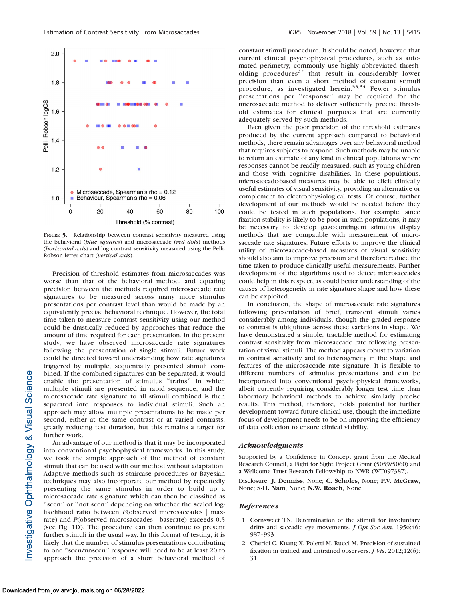

FIGURE 5. Relationship between contrast sensitivity measured using the behavioral (blue squares) and microsaccade (red dots) methods (horizontal axis) and log contrast sensitivity measured using the Pelli-Robson letter chart (vertical axis).

Precision of threshold estimates from microsaccades was worse than that of the behavioral method, and equating precision between the methods required microsaccade rate signatures to be measured across many more stimulus presentations per contrast level than would be made by an equivalently precise behavioral technique. However, the total time taken to measure contrast sensitivity using our method could be drastically reduced by approaches that reduce the amount of time required for each presentation. In the present study, we have observed microsaccade rate signatures following the presentation of single stimuli. Future work could be directed toward understanding how rate signatures triggered by multiple, sequentially presented stimuli combined. If the combined signatures can be separated, it would enable the presentation of stimulus ''trains'' in which multiple stimuli are presented in rapid sequence, and the microsaccade rate signature to all stimuli combined is then separated into responses to individual stimuli. Such an approach may allow multiple presentations to be made per second, either at the same contrast or at varied contrasts, greatly reducing test duration, but this remains a target for further work.

An advantage of our method is that it may be incorporated into conventional psychophysical frameworks. In this study, we took the simple approach of the method of constant stimuli that can be used with our method without adaptation. Adaptive methods such as staircase procedures or Bayesian techniques may also incorporate our method by repeatedly presenting the same stimulus in order to build up a microsaccade rate signature which can then be classified as "seen" or "not seen" depending on whether the scaled loglikelihood ratio between P(observed microsaccades | maxrate) and P(observed microsaccades | baserate) exceeds 0.5 (see Fig. 1D). The procedure can then continue to present further stimuli in the usual way. In this format of testing, it is likely that the number of stimulus presentations contributing to one ''seen/unseen'' response will need to be at least 20 to approach the precision of a short behavioral method of constant stimuli procedure. It should be noted, however, that current clinical psychophysical procedures, such as automated perimetry, commonly use highly abbreviated thresholding procedures $32$  that result in considerably lower precision than even a short method of constant stimuli procedure, as investigated herein. $33,34$  Fewer stimulus presentations per ''response'' may be required for the microsaccade method to deliver sufficiently precise threshold estimates for clinical purposes that are currently adequately served by such methods.

Even given the poor precision of the threshold estimates produced by the current approach compared to behavioral methods, there remain advantages over any behavioral method that requires subjects to respond. Such methods may be unable to return an estimate of any kind in clinical populations where responses cannot be readily measured, such as young children and those with cognitive disabilities. In these populations, microsaccade-based measures may be able to elicit clinically useful estimates of visual sensitivity, providing an alternative or complement to electrophysiological tests. Of course, further development of our methods would be needed before they could be tested in such populations. For example, since fixation stability is likely to be poor in such populations, it may be necessary to develop gaze-contingent stimulus display methods that are compatible with measurement of microsaccade rate signatures. Future efforts to improve the clinical utility of microsaccade-based measures of visual sensitivity should also aim to improve precision and therefore reduce the time taken to produce clinically useful measurements. Further development of the algorithms used to detect microsaccades could help in this respect, as could better understanding of the causes of heterogeneity in rate signature shape and how these can be exploited.

In conclusion, the shape of microsaccade rate signatures following presentation of brief, transient stimuli varies considerably among individuals, though the graded response to contrast is ubiquitous across these variations in shape. We have demonstrated a simple, tractable method for estimating contrast sensitivity from microsaccade rate following presentation of visual stimuli. The method appears robust to variation in contrast sensitivity and to heterogeneity in the shape and features of the microsaccade rate signature. It is flexible to different numbers of stimulus presentations and can be incorporated into conventional psychophysical frameworks, albeit currently requiring considerably longer test time than laboratory behavioral methods to achieve similarly precise results. This method, therefore, holds potential for further development toward future clinical use, though the immediate focus of development needs to be on improving the efficiency of data collection to ensure clinical viability.

#### Acknowledgments

Supported by a Confidence in Concept grant from the Medical Research Council, a Fight for Sight Project Grant (5059/5060) and a Wellcome Trust Research Fellowship to NWR (WT097387).

Disclosure: J. Denniss, None; C. Scholes, None; P.V. McGraw, None; S-H. Nam, None; N.W. Roach, None

#### References

- 1. Cornsweet TN. Determination of the stimuli for involuntary drifts and saccadic eye movements. J Opt Soc Am. 1956;46: 987–993.
- 2. Cherici C, Kuang X, Poletti M, Rucci M. Precision of sustained fixation in trained and untrained observers. J Vis. 2012;12(6): 31.